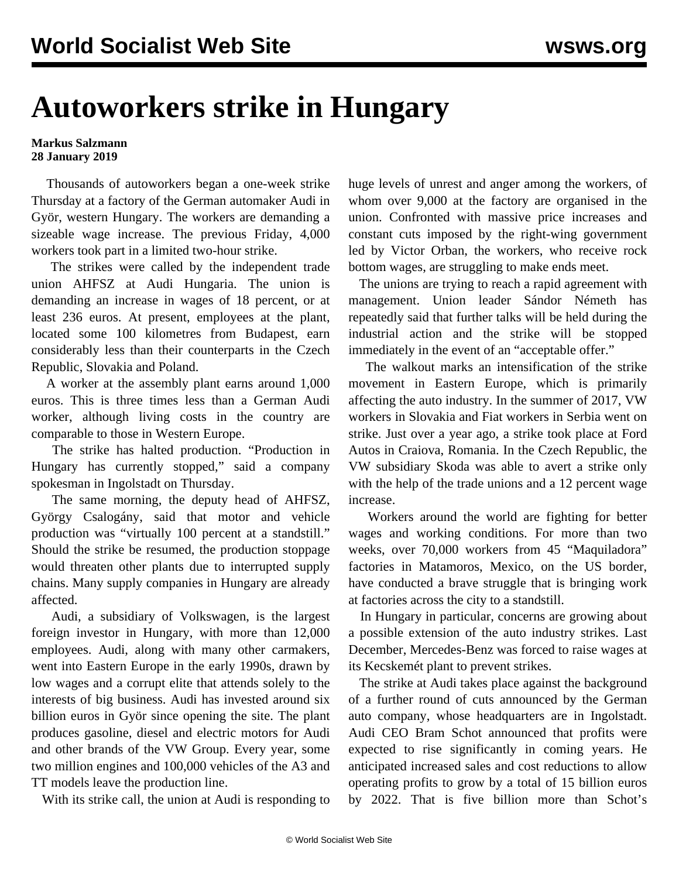## **Autoworkers strike in Hungary**

## **Markus Salzmann 28 January 2019**

 Thousands of autoworkers began a one-week strike Thursday at a factory of the German automaker Audi in Györ, western Hungary. The workers are demanding a sizeable wage increase. The previous Friday, 4,000 workers took part in a limited two-hour strike.

 The strikes were called by the independent trade union AHFSZ at Audi Hungaria. The union is demanding an increase in wages of 18 percent, or at least 236 euros. At present, employees at the plant, located some 100 kilometres from Budapest, earn considerably less than their counterparts in the Czech Republic, Slovakia and Poland.

 A worker at the assembly plant earns around 1,000 euros. This is three times less than a German Audi worker, although living costs in the country are comparable to those in Western Europe.

 The strike has halted production. "Production in Hungary has currently stopped," said a company spokesman in Ingolstadt on Thursday.

 The same morning, the deputy head of AHFSZ, György Csalogány, said that motor and vehicle production was "virtually 100 percent at a standstill." Should the strike be resumed, the production stoppage would threaten other plants due to interrupted supply chains. Many supply companies in Hungary are already affected.

 Audi, a subsidiary of Volkswagen, is the largest foreign investor in Hungary, with more than 12,000 employees. Audi, along with many other carmakers, went into Eastern Europe in the early 1990s, drawn by low wages and a corrupt elite that attends solely to the interests of big business. Audi has invested around six billion euros in Györ since opening the site. The plant produces gasoline, diesel and electric motors for Audi and other brands of the VW Group. Every year, some two million engines and 100,000 vehicles of the A3 and TT models leave the production line.

With its strike call, the union at Audi is responding to

huge levels of unrest and anger among the workers, of whom over 9,000 at the factory are organised in the union. Confronted with massive price increases and constant cuts imposed by the right-wing government led by Victor Orban, the workers, who receive rock bottom wages, are struggling to make ends meet.

 The unions are trying to reach a rapid agreement with management. Union leader Sándor Németh has repeatedly said that further talks will be held during the industrial action and the strike will be stopped immediately in the event of an "acceptable offer."

 The walkout marks an intensification of the strike movement in Eastern Europe, which is primarily affecting the auto industry. In the summer of 2017, VW workers in Slovakia and Fiat workers in Serbia went on strike. Just over a year ago, a strike took place at Ford Autos in Craiova, Romania. In the Czech Republic, the VW subsidiary Skoda was able to avert a strike only with the help of the trade unions and a 12 percent wage increase.

 Workers around the world are fighting for better wages and working conditions. For more than two weeks, over 70,000 workers from 45 "Maquiladora" factories in Matamoros, Mexico, on the US border, have conducted a brave struggle that is bringing work at factories across the city to a standstill.

 In Hungary in particular, concerns are growing about a possible extension of the auto industry strikes. Last December, Mercedes-Benz was forced to raise wages at its Kecskemét plant to prevent strikes.

 The strike at Audi takes place against the background of a further round of cuts announced by the German auto company, whose headquarters are in Ingolstadt. Audi CEO Bram Schot announced that profits were expected to rise significantly in coming years. He anticipated increased sales and cost reductions to allow operating profits to grow by a total of 15 billion euros by 2022. That is five billion more than Schot's